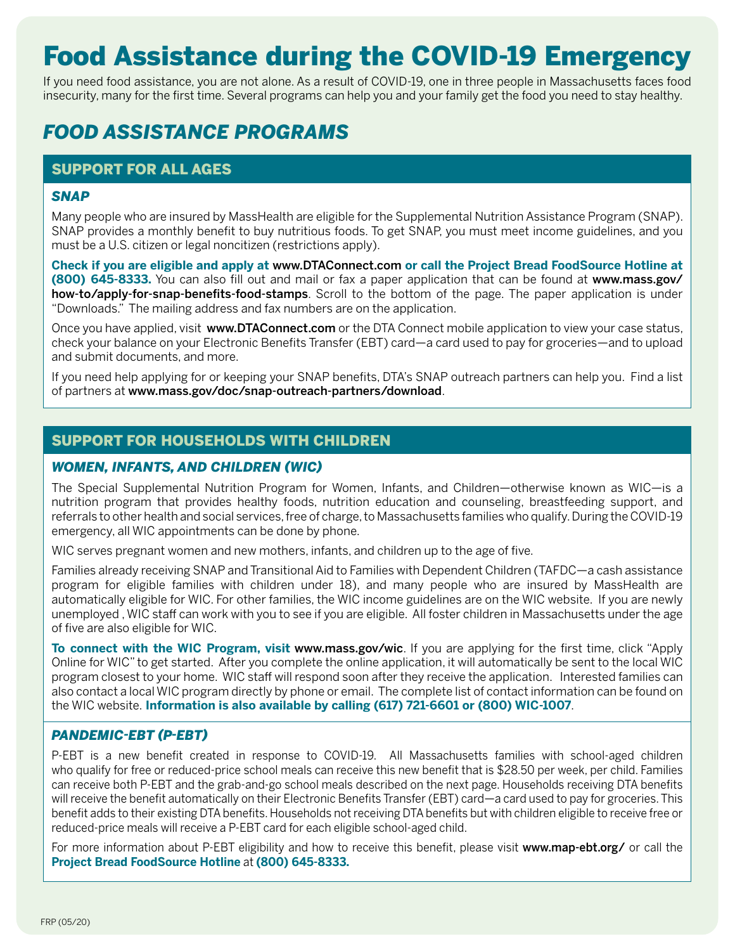# Food Assistance during the COVID-19 Emergency

If you need food assistance, you are not alone. As a result of COVID-19, one in three people in Massachusetts faces food insecurity, many for the first time. Several programs can help you and your family get the food you need to stay healthy.

# *FOOD ASSISTANCE PROGRAMS*

#### SUPPORT FOR ALL AGES

#### *SNAP*

Many people who are insured by MassHealth are eligible for the Supplemental Nutrition Assistance Program (SNAP). SNAP provides a monthly benefit to buy nutritious foods. To get SNAP, you must meet income guidelines, and you must be a U.S. citizen or legal noncitizen (restrictions apply).

**Check if you are eligible and apply at** www.DTAConnect.com **or call the Project Bread FoodSource Hotline at (800) 645-8333.** You can also fill out and mail or fax a paper application that can be found at [www.mass.gov/](https://www.mass.gov/how-to/apply-for-snap-benefits-food-stamps) [how-to/apply-for-snap-benefits-food-stamps](https://www.mass.gov/how-to/apply-for-snap-benefits-food-stamps). Scroll to the bottom of the page. The paper application is under "Downloads." The mailing address and fax numbers are on the application.

Once you have applied, visit www.[DTAConnect.com](https://dtaconnect.eohhs.mass.gov/) or the DTA Connect mobile application to view your case status, check your balance on your Electronic Benefits Transfer (EBT) card—a card used to pay for groceries—and to upload and submit documents, and more.

If you need help applying for or keeping your SNAP benefits, DTA's SNAP outreach partners can help you. Find a list of partners at www.mass.gov/doc/snap-outreach-partners/download.

### SUPPORT FOR HOUSEHOLDS WITH CHILDREN

#### *WOMEN, INFANTS, AND CHILDREN (WIC)*

The Special Supplemental Nutrition Program for Women, Infants, and Children—otherwise known as WIC—is a nutrition program that provides healthy foods, nutrition education and counseling, breastfeeding support, and referrals to other health and social services, free of charge, to Massachusetts families who qualify. During the COVID-19 emergency, all WIC appointments can be done by phone.

WIC serves pregnant women and new mothers, infants, and children up to the age of five.

Families already receiving SNAP and Transitional Aid to Families with Dependent Children (TAFDC—a cash assistance program for eligible families with children under 18), and many people who are insured by MassHealth are automatically eligible for WIC. For other families, the WIC income guidelines are on the WIC website. If you are newly unemployed , WIC staff can work with you to see if you are eligible. All foster children in Massachusetts under the age of five are also eligible for WIC.

**To connect with the WIC Program, visit** www.mass.gov/wic. If you are applying for the first time, click "Apply Online for WIC" to get started. After you complete the online application, it will automatically be sent to the local WIC program closest to your home. WIC staff will respond soon after they receive the application. Interested families can also contact a local WIC program directly by phone or email. The complete list of contact information can be found on the WIC website. **Information is also available by calling (617) 721-6601 or (800) WIC-1007**.

#### *PANDEMIC-EBT (P-EBT)*

P-EBT is a new benefit created in response to COVID-19. All Massachusetts families with school-aged children who qualify for free or reduced-price school meals can receive this new benefit that is \$28.50 per week, per child. Families can receive both P-EBT and the grab-and-go school meals described on the next page. Households receiving DTA benefits will receive the benefit automatically on their Electronic Benefits Transfer (EBT) card—a card used to pay for groceries. This benefit adds to their existing DTA benefits. Households not receiving DTA benefits but with children eligible to receive free or reduced-price meals will receive a P-EBT card for each eligible school-aged child.

For more information about P-EBT eligibility and how to receive this benefit, please visit www.map-ebt.org/ or call the **Project Bread FoodSource Hotline** at **(800) 645-8333.**